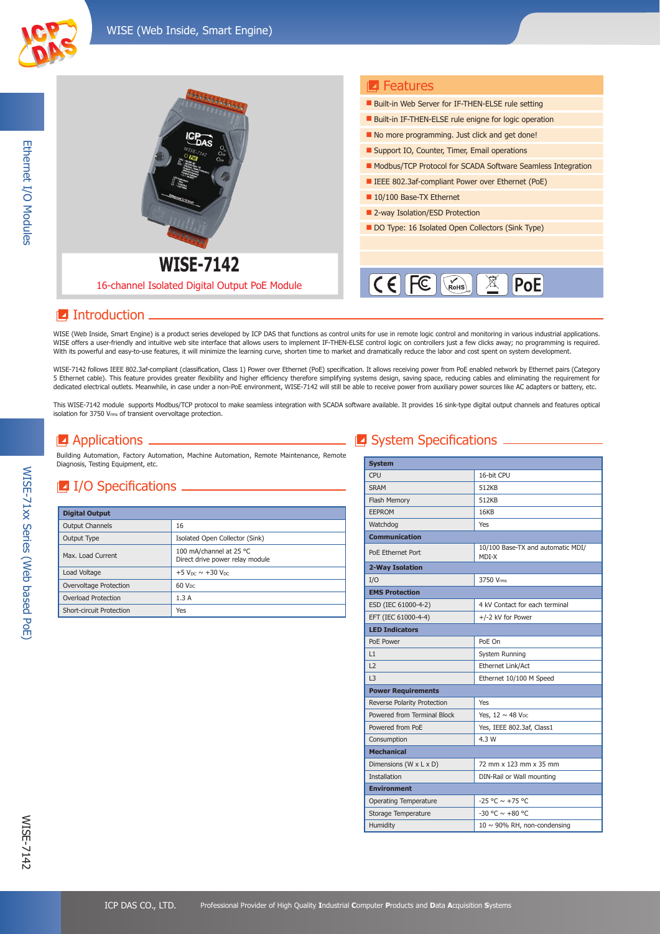

Ethernet I/O Modules

Ethernet I/O Modules

|                                               | <b>E</b> Features                                                                    |
|-----------------------------------------------|--------------------------------------------------------------------------------------|
| <b><i><u>ADDROGOODS</u></i></b>               | <b>Built-in Web Server for IF-THEN-ELSE rule setting</b>                             |
|                                               | Built-in IF-THEN-ELSE rule enigne for logic operation                                |
|                                               | No more programming. Just click and get done!                                        |
|                                               | Support IO, Counter, Timer, Email operations                                         |
|                                               | Modbus/TCP Protocol for SCADA Software Seamless Integration                          |
|                                               | <b>EXECUTE:</b> IEEE 802.3af-compliant Power over Ethernet (PoE)                     |
|                                               | 10/100 Base-TX Ethernet                                                              |
|                                               | ■ 2-way Isolation/ESD Protection                                                     |
|                                               | DO Type: 16 Isolated Open Collectors (Sink Type)                                     |
|                                               |                                                                                      |
| <b>WISE-7142</b>                              |                                                                                      |
|                                               |                                                                                      |
| 16-channel Isolated Digital Output PoE Module | $\mathsf{IC}\!\in\!\mathsf{I}\!\!\mathsf{I}$<br><b>PoE</b><br>$\sqrt{\mathsf{Rohs}}$ |
|                                               |                                                                                      |

## **I**ntroduction.

WISE (Web Inside, Smart Engine) is a product series developed by ICP DAS that functions as control units for use in remote logic control and monitoring in various industrial applications. WISE offers a user-friendly and intuitive web site interface that allows users to implement IF-THEN-ELSE control logic on controllers just a few clicks away; no programming is required. With its powerful and easy-to-use features, it will minimize the learning curve, shorten time to market and dramatically reduce the labor and cost spent on system development.

WISE-7142 follows IEEE 802.3af-compliant (classification, Class 1) Power over Ethernet (PoE) specification. It allows receiving power from PoE enabled network by Ethernet pairs (Category 5 Ethernet cable). This feature provides greater flexibility and higher efficiency therefore simplifying systems design, saving space, reducing cables and eliminating the requirement for dedicated electrical outlets. Meanwhile, in case under a non-PoE environment, WISE-7142 will still be able to receive power from auxiliary power sources like AC adapters or battery, etc.

This WISE-7142 module supports Modbus/TCP protocol to make seamless integration with SCADA software available. It provides 16 sink-type digital output channels and features optical isolation for 3750 Vrms of transient overvoltage protection.

## $\blacksquare$  Applications  $\lightharpoonup$

Building Automation, Factory Automation, Machine Automation, Remote Maintenance, Remote Diagnosis, Testing Equipment, etc.

#### $\blacksquare$  I/O Specifications  $\blacksquare$

| <b>Digital Output</b>    |                                                            |
|--------------------------|------------------------------------------------------------|
| <b>Output Channels</b>   | 16                                                         |
| Output Type              | Isolated Open Collector (Sink)                             |
| Max. Load Current        | 100 mA/channel at 25 °C<br>Direct drive power relay module |
| Load Voltage             | +5 V <sub>DC</sub> $\sim$ +30 V <sub>DC</sub>              |
| Overvoltage Protection   | $60$ V <sub>DC</sub>                                       |
| Overload Protection      | 1.3A                                                       |
| Short-circuit Protection | Yes                                                        |

## System Specifications \_\_\_\_\_

| <b>System</b>                |                                            |
|------------------------------|--------------------------------------------|
| CPU                          | 16-bit CPU                                 |
| <b>SRAM</b>                  | 512KB                                      |
| Flash Memory                 | 512KB                                      |
| EEPROM                       | 16KB                                       |
| Watchdog                     | <b>Yes</b>                                 |
| <b>Communication</b>         |                                            |
| PoE Ethernet Port            | 10/100 Base-TX and automatic MDI/<br>MDI-X |
| 2-Way Isolation              |                                            |
| I/O                          | 3750 Vrms                                  |
| <b>EMS Protection</b>        |                                            |
| ESD (IEC 61000-4-2)          | 4 kV Contact for each terminal             |
| EFT (IEC 61000-4-4)          | +/-2 kV for Power                          |
| <b>LED Indicators</b>        |                                            |
| PoE Power                    | PoE On                                     |
| L1                           | System Running                             |
| L <sub>2</sub>               | Ethernet Link/Act                          |
| 3                            | Ethernet 10/100 M Speed                    |
| <b>Power Requirements</b>    |                                            |
| Reverse Polarity Protection  | Yes                                        |
| Powered from Terminal Block  | Yes, $12 \sim 48$ V <sub>pc</sub>          |
| Powered from PoE             | Yes, IEEE 802.3af, Class1                  |
| Consumption                  | 4.3 W                                      |
| <b>Mechanical</b>            |                                            |
| Dimensions (W x L x D)       | 72 mm x 123 mm x 35 mm                     |
| <b>Installation</b>          | DIN-Rail or Wall mounting                  |
| <b>Environment</b>           |                                            |
| <b>Operating Temperature</b> | $-25$ °C $\sim$ +75 °C                     |
| Storage Temperature          | $-30$ °C $\sim +80$ °C                     |
| Humidity                     | $10 \sim 90\%$ RH, non-condensing          |

WISE-71xx Series (Web based PoE)

WISE-71xx Series (Web based PoE)